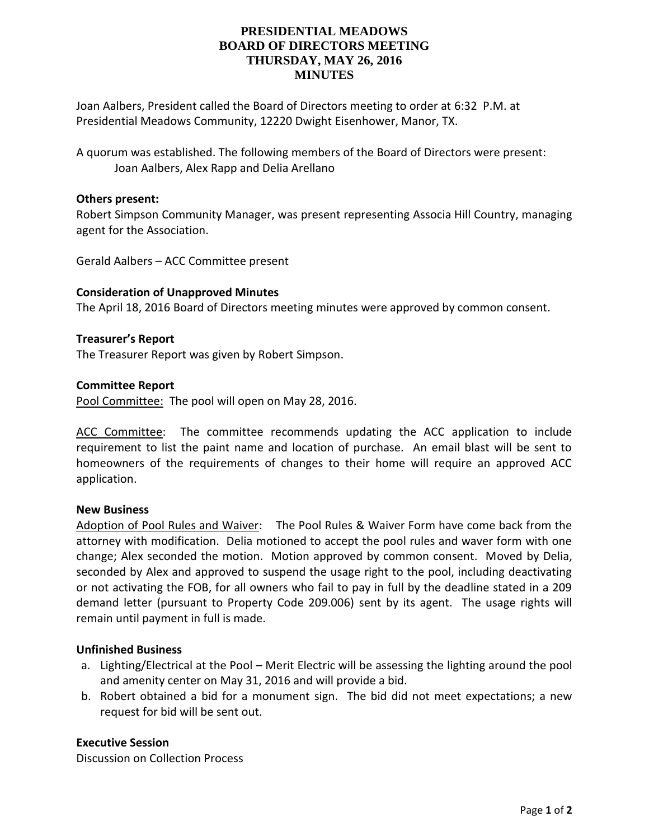# **PRESIDENTIAL MEADOWS BOARD OF DIRECTORS MEETING THURSDAY, MAY 26, 2016 MINUTES**

Joan Aalbers, President called the Board of Directors meeting to order at 6:32 P.M. at Presidential Meadows Community, 12220 Dwight Eisenhower, Manor, TX.

A quorum was established. The following members of the Board of Directors were present: Joan Aalbers, Alex Rapp and Delia Arellano

## **Others present:**

Robert Simpson Community Manager, was present representing Associa Hill Country, managing agent for the Association.

Gerald Aalbers – ACC Committee present

## **Consideration of Unapproved Minutes**

The April 18, 2016 Board of Directors meeting minutes were approved by common consent.

## **Treasurer's Report**

The Treasurer Report was given by Robert Simpson.

## **Committee Report**

Pool Committee: The pool will open on May 28, 2016.

ACC Committee: The committee recommends updating the ACC application to include requirement to list the paint name and location of purchase. An email blast will be sent to homeowners of the requirements of changes to their home will require an approved ACC application.

#### **New Business**

Adoption of Pool Rules and Waiver: The Pool Rules & Waiver Form have come back from the attorney with modification. Delia motioned to accept the pool rules and waver form with one change; Alex seconded the motion. Motion approved by common consent. Moved by Delia, seconded by Alex and approved to suspend the usage right to the pool, including deactivating or not activating the FOB, for all owners who fail to pay in full by the deadline stated in a 209 demand letter (pursuant to Property Code 209.006) sent by its agent. The usage rights will remain until payment in full is made.

## **Unfinished Business**

- a. Lighting/Electrical at the Pool Merit Electric will be assessing the lighting around the pool and amenity center on May 31, 2016 and will provide a bid.
- b. Robert obtained a bid for a monument sign. The bid did not meet expectations; a new request for bid will be sent out.

## **Executive Session**

Discussion on Collection Process